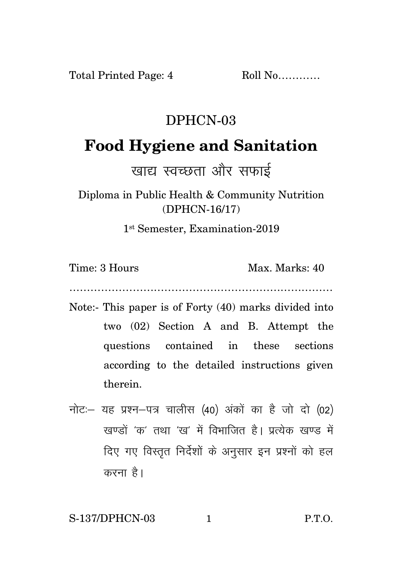Total Printed Page: 4 Roll No...........

## DPHCN-03

## **Food Hygiene and Sanitation**

खाद्य स्वच्छता और सफाई

Diploma in Public Health & Community Nutrition (DPHCN-16/17)

1 st Semester, Examination-2019

Time: 3 Hours Max. Marks: 40

…………………………………………………………………

- Note:- This paper is of Forty (40) marks divided into two (02) Section A and B. Attempt the questions contained in these sections according to the detailed instructions given therein.
- नोट: यह प्रश्न-पत्र चालीस (40) अंकों का है जो दो (02) खण्डों 'क' तथा 'ख' में विभाजित है। प्रत्येक खण्ड में दिए गए विस्तृत निर्देशों के अनुसार इन प्रश्नों को हल करना है।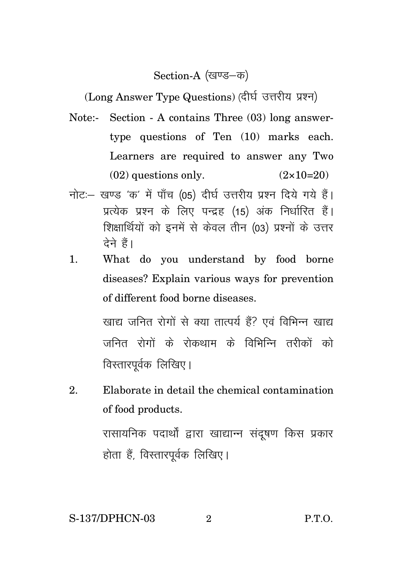Section-A (खण्ड–क)

(Long Answer Type Questions) (दीर्घ उत्तरीय प्रश्न)

- Note:- Section A contains Three (03) long answertype questions of Ten (10) marks each. Learners are required to answer any Two  $(02)$  questions only.  $(2 \times 10=20)$
- नोट: खण्ड 'क' में पाँच (05) दीर्घ उत्तरीय प्रश्न दिये गये हैं। प्रत्येक प्रश्न के लिए पन्द्रह (15) अंक निर्धारित हैं। शिक्षार्थियों को इनमें से केवल तीन (03) प्रश्नों के उत्तर तेने हैं।
- 1. What do you understand by food borne diseases? Explain various ways for prevention of different food borne diseases.

खाद्य जनित रोगों से क्या तात्पर्य हैं? एवं विभिन्न खाद्य जनित रोगों के रोकथाम के विभिन्नि तरीकों को विस्तारपूर्वक लिखिए।

2. Elaborate in detail the chemical contamination of food products.

> रासायनिक पदार्थों द्वारा खाद्यान्न संदूषण किस प्रकार होता हैं, विस्तारपूर्वक लिखिए।

S-137/DPHCN-03 2 P.T.O.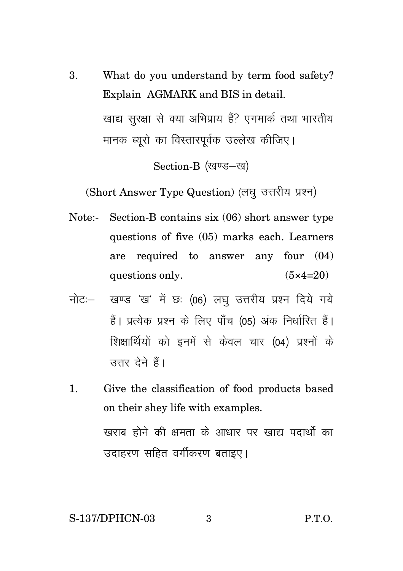3. What do you understand by term food safety? Explain AGMARK and BIS in detail. खाद्य सरक्षा से क्या अभिप्राय हैं? एगमार्क तथा भारतीय मानक ब्यूरो का विस्तारपूर्वक उल्लेख कीजिए।

Section-B (खण्ड-ख)

(Short Answer Type Question) (लघु उत्तरीय प्रश्न)

- Note:- Section-B contains six (06) short answer type questions of five (05) marks each. Learners are required to answer any four (04) questions only.  $(5 \times 4=20)$
- नोट: खण्ड 'ख' में छः (06) लघु उत्तरीय प्रश्न दिये गये हैं। प्रत्येक प्रश्न के लिए पाँच (05) अंक निर्धारित हैं। शिक्षार्थियों को इनमें से केवल चार (04) प्रश्नों के उत्तर देने हैं।
- 1. Give the classification of food products based on their shey life with examples. खराब होने की क्षमता के आधार पर खाद्य पदार्थो का उदाहरण सहित वर्गीकरण बताइए।